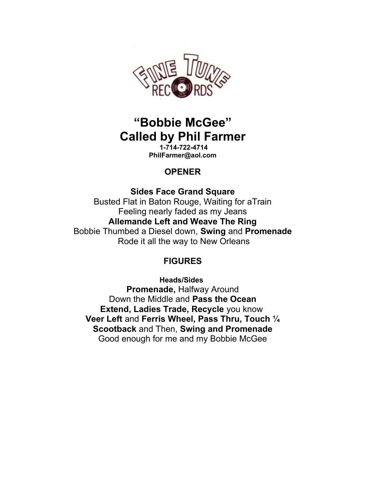

# **"Bobbie McGee" Called by Phil Farmer**

**1-714-722-4714 PhilFarmer@aol.com**

## **OPENER**

## **Sides Face Grand Square**

Busted Flat in Baton Rouge, Waiting for aTrain Feeling nearly faded as my Jeans **Allemande Left and Weave The Ring** Bobbie Thumbed a Diesel down, **Swing** and **Promenade** Rode it all the way to New Orleans

## **FIGURES**

**Heads/Sides Promenade,** Halfway Around Down the Middle and **Pass the Ocean Extend, Ladies Trade, Recycle** you know **Veer Left** and **Ferris Wheel, Pass Thru, Touch ¼ Scootback** and Then, **Swing and Promenade** Good enough for me and my Bobbie McGee